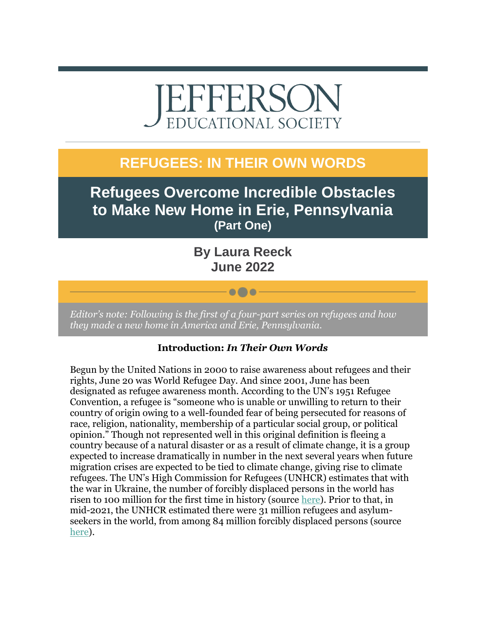# EFFERSO EDUCATIONAL SOCIETY

## **REFUGEES: IN THEIR OWN WORDS**

**Refugees Overcome Incredible Obstacles to Make New Home in Erie, Pennsylvania (Part One)**

> **By Laura Reeck June 2022**

> > $\bullet\bullet\bullet$

*Editor's note: Following is the first of a four-part series on refugees and how they made a new home in America and Erie, Pennsylvania.*

#### **Introduction:** *In Their Own Words*

Begun by the United Nations in 2000 to raise awareness about refugees and their rights, June 20 was World Refugee Day. And since 2001, June has been designated as refugee awareness month. According to the UN's 1951 Refugee Convention, a refugee is "someone who is unable or unwilling to return to their country of origin owing to a well-founded fear of being persecuted for reasons of race, religion, nationality, membership of a particular social group, or political opinion." Though not represented well in this original definition is fleeing a country because of a natural disaster or as a result of climate change, it is a group expected to increase dramatically in number in the next several years when future migration crises are expected to be tied to climate change, giving rise to climate refugees. The UN's High Commission for Refugees (UNHCR) estimates that with the war in Ukraine, the number of forcibly displaced persons in the world has risen to 100 million for the first time in history (source [here\)](https://r20.rs6.net/tn.jsp?f=001Qlqr-jFDVcBqDgtJQ7YtOEhXzq3nr2Zk10rqkUeXGjnbaSBxW5hb43pzac0Lg4z08FW7k6_G6SGfUG_oEy3DLM4IFSVdW-W9PRBzwI8y6QLNJBgnN0qi8IdyrXFH_a_9y4gQ1t-VcYF9ACP5RdEdw02sXKu_BakmAyxtChV4jdR0RUHgaZwCMA==&c=BFeo5_oa7gJtG3WU7h37wf6gvfdzSXJhWuGsqCDVY2aTDsP_jCEJHg==&ch=9npVbV0lSamsS1Jepv02kifz1x0hWJiTeBhg5QFiRDkfqrQztkHMSQ==). Prior to that, in mid-2021, the UNHCR estimated there were 31 million refugees and asylumseekers in the world, from among 84 million forcibly displaced persons (source [here\)](https://r20.rs6.net/tn.jsp?f=001Qlqr-jFDVcBqDgtJQ7YtOEhXzq3nr2Zk10rqkUeXGjnbaSBxW5hb43pzac0Lg4z0jFWO5TWM6bcJKTyBjs-DQUiSPe_OEAlUicJ-7yMjEEOoWZ_N9uA-TYcupaBuGxiqhxuohHGD_ax0SunOvs0BaiCnvuAwv5SEkmKnAT9nGqE=&c=BFeo5_oa7gJtG3WU7h37wf6gvfdzSXJhWuGsqCDVY2aTDsP_jCEJHg==&ch=9npVbV0lSamsS1Jepv02kifz1x0hWJiTeBhg5QFiRDkfqrQztkHMSQ==).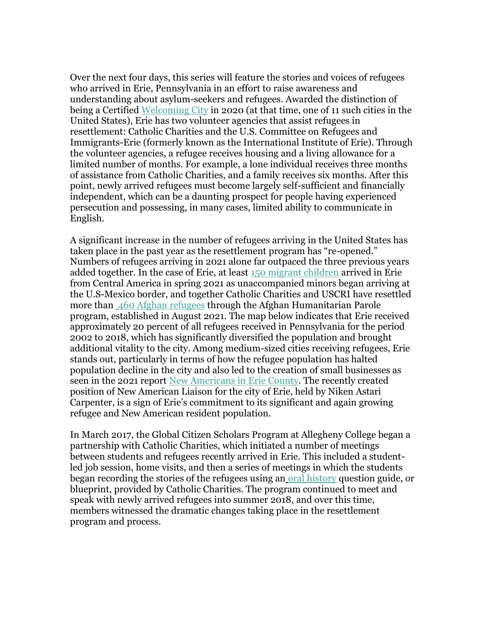Over the next four days, this series will feature the stories and voices of refugees who arrived in Erie, Pennsylvania in an effort to raise awareness and understanding about asylum-seekers and refugees. Awarded the distinction of being a Certified [Welcoming City](https://r20.rs6.net/tn.jsp?f=001Qlqr-jFDVcBqDgtJQ7YtOEhXzq3nr2Zk10rqkUeXGjnbaSBxW5hb43pzac0Lg4z00oxBauLvobpqXvA4F5A5y85h1T9wXMhNtOCWdpmMXDJIJCXHMQv5KaJ0Fb7qMVAmr64K7jvmCJSss6a1uigEjHEgx8KrPD3zL4B5HXaAPQcW9NATf_OByn5tB07OQjpguvpn9I5UZhkiv6lJEKlEUeHOJUfXfacW&c=BFeo5_oa7gJtG3WU7h37wf6gvfdzSXJhWuGsqCDVY2aTDsP_jCEJHg==&ch=9npVbV0lSamsS1Jepv02kifz1x0hWJiTeBhg5QFiRDkfqrQztkHMSQ==) in 2020 (at that time, one of 11 such cities in the United States), Erie has two volunteer agencies that assist refugees in resettlement: Catholic Charities and the U.S. Committee on Refugees and Immigrants-Erie (formerly known as the International Institute of Erie). Through the volunteer agencies, a refugee receives housing and a living allowance for a limited number of months. For example, a lone individual receives three months of assistance from Catholic Charities, and a family receives six months. After this point, newly arrived refugees must become largely self-sufficient and financially independent, which can be a daunting prospect for people having experienced persecution and possessing, in many cases, limited ability to communicate in English.

A significant increase in the number of refugees arriving in the United States has taken place in the past year as the resettlement program has "re-opened." Numbers of refugees arriving in 2021 alone far outpaced the three previous years added together. In the case of Erie, at least [150 migrant children](https://r20.rs6.net/tn.jsp?f=001Qlqr-jFDVcBqDgtJQ7YtOEhXzq3nr2Zk10rqkUeXGjnbaSBxW5hb43pzac0Lg4z06oAY4M5y_gWOCbAAU0bEH1NRyUOpaw_C2GOmUOGkat3bEbv257rIA6y89Lozx7xCAdDJpUNtUsnDbCmRE-gcSa7ZA3WbZB9GC6vrNyuac9pRKmCD921i__0lNa5DNf0l1zP2er_iNZC6I1U1zSVVz0SBrSmnUZv9CWA770gNMh2TqhlL-eRYUtDu3cvvpYiOiSae2F4o8avqrl47GNRnzDKZTjUXZWfsQrOE4cSlVJk=&c=BFeo5_oa7gJtG3WU7h37wf6gvfdzSXJhWuGsqCDVY2aTDsP_jCEJHg==&ch=9npVbV0lSamsS1Jepv02kifz1x0hWJiTeBhg5QFiRDkfqrQztkHMSQ==) arrived in Erie from Central America in spring 2021 as unaccompanied minors began arriving at the U.S-Mexico border, and together Catholic Charities and USCRI have resettled more than [460 Afghan refugees](https://r20.rs6.net/tn.jsp?f=001Qlqr-jFDVcBqDgtJQ7YtOEhXzq3nr2Zk10rqkUeXGjnbaSBxW5hb43pzac0Lg4z0E5r8Ep0KWc1W9yibc5939KACiUFF860lWAFEyoJnwJLiZuAH4dTCcBqMTShUvTeuJi8EvjYv6phIoXNvQoaF-2obP-9Rm145HXFwXM-MIHN6XOWpMCkrPZYp3GL6TDZIIHQro3MZuAy3B0HsNDVxvcoUknSLY_BXT5Q4P6slgVkQ7xLn8oQq112pRoTzkwapXVbIN8sI78COx2YeWn2HPM1kktp0th6CQxdrRa1gwoAP7A3yuK-VdSKKo3Be3fXkX6fJ2harliU=&c=BFeo5_oa7gJtG3WU7h37wf6gvfdzSXJhWuGsqCDVY2aTDsP_jCEJHg==&ch=9npVbV0lSamsS1Jepv02kifz1x0hWJiTeBhg5QFiRDkfqrQztkHMSQ==) through the Afghan Humanitarian Parole program, established in August 2021. The map below indicates that Erie received approximately 20 percent of all refugees received in Pennsylvania for the period 2002 to 2018, which has significantly diversified the population and brought additional vitality to the city. Among medium-sized cities receiving refugees, Erie stands out, particularly in terms of how the refugee population has halted population decline in the city and also led to the creation of small businesses as seen in the 2021 report [New Americans in Erie County.](https://r20.rs6.net/tn.jsp?f=001Qlqr-jFDVcBqDgtJQ7YtOEhXzq3nr2Zk10rqkUeXGjnbaSBxW5hb43pzac0Lg4z07Y47lbIdnKtbzBlcbJWAunfm1BSiPU3OFvRZiTsneVsBH5pc7UnptVd1Oc27VRkXybRfaqfkVM9DGYnuQIDx5bzP9eOLtdrDn3xsxUH09LW4wjasDB88nFKpZ4gI-LxtjrO4Ok09VuneROl7sOb1QtNvJzM2SEyWS09rrx1NxkXJe1jZjTA8Bi7xyawk6QuRboH-MPqxpAhS9aETSNuaMf6miz9_mTmZ&c=BFeo5_oa7gJtG3WU7h37wf6gvfdzSXJhWuGsqCDVY2aTDsP_jCEJHg==&ch=9npVbV0lSamsS1Jepv02kifz1x0hWJiTeBhg5QFiRDkfqrQztkHMSQ==) The recently created position of New American Liaison for the city of Erie, held by Niken Astari Carpenter, is a sign of Erie's commitment to its significant and again growing refugee and New American resident population.

In March 2017, the Global Citizen Scholars Program at Allegheny College began a partnership with Catholic Charities, which initiated a number of meetings between students and refugees recently arrived in Erie. This included a studentled job session, home visits, and then a series of meetings in which the students began recording the stories of the refugees using an [oral history](https://r20.rs6.net/tn.jsp?f=001Qlqr-jFDVcBqDgtJQ7YtOEhXzq3nr2Zk10rqkUeXGjnbaSBxW5hb43pzac0Lg4z0oaNG4ihBVvskvOBBv8MKV2gfZvyHBV4_HlQKrZqewvwrs0n-67_QP7QA7EOVmKkuaCuzkNWotfCFXlkV1aqgFniYuWHv9kGugnOwRgMh5eKEraTcKOe6oQ==&c=BFeo5_oa7gJtG3WU7h37wf6gvfdzSXJhWuGsqCDVY2aTDsP_jCEJHg==&ch=9npVbV0lSamsS1Jepv02kifz1x0hWJiTeBhg5QFiRDkfqrQztkHMSQ==) question guide, or blueprint, provided by Catholic Charities. The program continued to meet and speak with newly arrived refugees into summer 2018, and over this time, members witnessed the dramatic changes taking place in the resettlement program and process.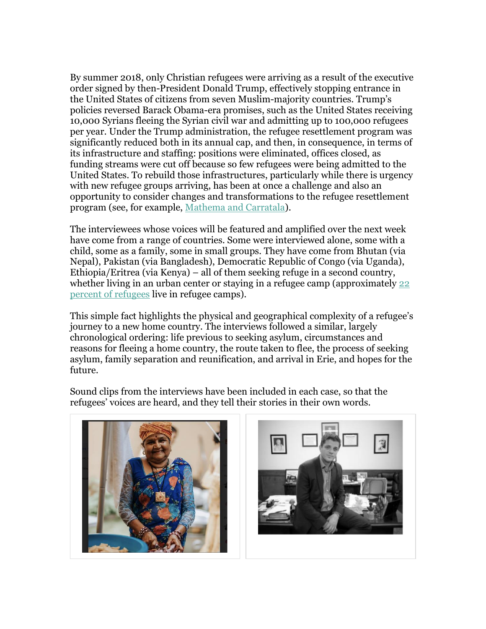By summer 2018, only Christian refugees were arriving as a result of the executive order signed by then-President Donald Trump, effectively stopping entrance in the United States of citizens from seven Muslim-majority countries. Trump's policies reversed Barack Obama-era promises, such as the United States receiving 10,000 Syrians fleeing the Syrian civil war and admitting up to 100,000 refugees per year. Under the Trump administration, the refugee resettlement program was significantly reduced both in its annual cap, and then, in consequence, in terms of its infrastructure and staffing: positions were eliminated, offices closed, as funding streams were cut off because so few refugees were being admitted to the United States. To rebuild those infrastructures, particularly while there is urgency with new refugee groups arriving, has been at once a challenge and also an opportunity to consider changes and transformations to the refugee resettlement program (see, for example, [Mathema and Carratala\)](https://r20.rs6.net/tn.jsp?f=001Qlqr-jFDVcBqDgtJQ7YtOEhXzq3nr2Zk10rqkUeXGjnbaSBxW5hb43pzac0Lg4z0wXXOkL700u7ajlplkuxIJjfcya8Dto1y4qLA5nwqOVbPUc6mLuPm3f6r6cgdP2vGqZ8CuP8C7inJOqflf5S6MreAQsfHmVNsK90CZRo_D2hmDxv0z-6OuefsQI0_defPfBdAdZ6sNXw5LbdXwfRlAPS66nzZ5_t7te9siaVrnnxTRBpfFPwK6IfsMIOT8HYz8hNVUFH8514KxaFuWmdLvhFZ9U2Bf2ucApmsfvGnPt-CYCUH6c8YHXc7xkh16cDx8auJOt456JDe1YTtGeS52fyavIWAm7rITCIZPHmNg2jCCO_4dacKYg==&c=BFeo5_oa7gJtG3WU7h37wf6gvfdzSXJhWuGsqCDVY2aTDsP_jCEJHg==&ch=9npVbV0lSamsS1Jepv02kifz1x0hWJiTeBhg5QFiRDkfqrQztkHMSQ==).

The interviewees whose voices will be featured and amplified over the next week have come from a range of countries. Some were interviewed alone, some with a child, some as a family, some in small groups. They have come from Bhutan (via Nepal), Pakistan (via Bangladesh), Democratic Republic of Congo (via Uganda), Ethiopia/Eritrea (via Kenya) – all of them seeking refuge in a second country, whether living in an urban center or staying in a refugee camp (approximately 22 [percent of refugees](https://r20.rs6.net/tn.jsp?f=001Qlqr-jFDVcBqDgtJQ7YtOEhXzq3nr2Zk10rqkUeXGjnbaSBxW5hb43pzac0Lg4z08WtTcDg2mw9I5y1mxMaHXqRIHx__HORne8jHsQPcv9eT9dkyQPpoaMSTdWjkB5Z61BlWdoBZs1uGHQGy8EocqrPfyScSbyG6M-xxCxSjeXSdX6hRAufFUiOOTR1ovfSobdZLp-fgo8foO-fYoyTRKct18JEQ1i028WvtUrkGyRQLV-BfxDuPVSo8n7OZxcM1fq6i6rxGxyKfjLBCa-5D_LUiLp4LtMbL&c=BFeo5_oa7gJtG3WU7h37wf6gvfdzSXJhWuGsqCDVY2aTDsP_jCEJHg==&ch=9npVbV0lSamsS1Jepv02kifz1x0hWJiTeBhg5QFiRDkfqrQztkHMSQ==) live in refugee camps).

This simple fact highlights the physical and geographical complexity of a refugee's journey to a new home country. The interviews followed a similar, largely chronological ordering: life previous to seeking asylum, circumstances and reasons for fleeing a home country, the route taken to flee, the process of seeking asylum, family separation and reunification, and arrival in Erie, and hopes for the future.

Sound clips from the interviews have been included in each case, so that the refugees' voices are heard, and they tell their stories in their own words.



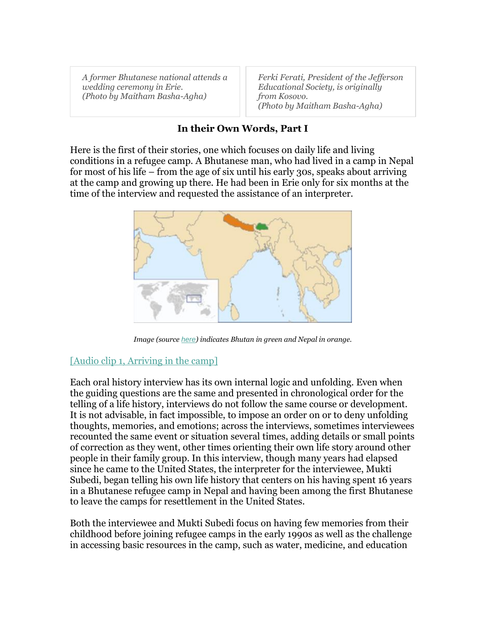*A former Bhutanese national attends a wedding ceremony in Erie. (Photo by Maitham Basha-Agha)*

*Ferki Ferati, President of the Jefferson Educational Society, is originally from Kosovo. (Photo by Maitham Basha-Agha)*

#### **In their Own Words, Part I**

Here is the first of their stories, one which focuses on daily life and living conditions in a refugee camp. A Bhutanese man, who had lived in a camp in Nepal for most of his life – from the age of six until his early 30s, speaks about arriving at the camp and growing up there. He had been in Erie only for six months at the time of the interview and requested the assistance of an interpreter.



*Image (source [here](https://r20.rs6.net/tn.jsp?f=001Qlqr-jFDVcBqDgtJQ7YtOEhXzq3nr2Zk10rqkUeXGjnbaSBxW5hb43pzac0Lg4z0o97K50JciUzLS2R2j_ixTWYbEga9U9fSDkLpE1tL9_1qDByvG1xEhoBtbE0xQP5ANvQpd5DqqZ5uRir9VtzXfW36M_7tcDl6Jluh9maOj1fna0uqvCyFW1XClr-sC5k5W02q__9eyQo=&c=BFeo5_oa7gJtG3WU7h37wf6gvfdzSXJhWuGsqCDVY2aTDsP_jCEJHg==&ch=9npVbV0lSamsS1Jepv02kifz1x0hWJiTeBhg5QFiRDkfqrQztkHMSQ==)) indicates Bhutan in green and Nepal in orange.*

#### [\[Audio clip 1, Arriving in the camp\]](https://r20.rs6.net/tn.jsp?f=001Qlqr-jFDVcBqDgtJQ7YtOEhXzq3nr2Zk10rqkUeXGjnbaSBxW5hb43pzac0Lg4z0IcFdxIGcPHzfqwZUjTC3dPpfuL7sIpAeMg-TkC8Gmowfyh1sGaRpdFDhdkQv_-dEAQWEXxZMgS-guqlliIx4GwA49g__nutsulZdl46jbW3X6_1mVhwqJLwm7JALZRtoz6tlfRmztp0o3yw0DwXPFg4qVICf5efdPYe60LiQ-UA=&c=BFeo5_oa7gJtG3WU7h37wf6gvfdzSXJhWuGsqCDVY2aTDsP_jCEJHg==&ch=9npVbV0lSamsS1Jepv02kifz1x0hWJiTeBhg5QFiRDkfqrQztkHMSQ==)

Each oral history interview has its own internal logic and unfolding. Even when the guiding questions are the same and presented in chronological order for the telling of a life history, interviews do not follow the same course or development. It is not advisable, in fact impossible, to impose an order on or to deny unfolding thoughts, memories, and emotions; across the interviews, sometimes interviewees recounted the same event or situation several times, adding details or small points of correction as they went, other times orienting their own life story around other people in their family group. In this interview, though many years had elapsed since he came to the United States, the interpreter for the interviewee, Mukti Subedi, began telling his own life history that centers on his having spent 16 years in a Bhutanese refugee camp in Nepal and having been among the first Bhutanese to leave the camps for resettlement in the United States.

Both the interviewee and Mukti Subedi focus on having few memories from their childhood before joining refugee camps in the early 1990s as well as the challenge in accessing basic resources in the camp, such as water, medicine, and education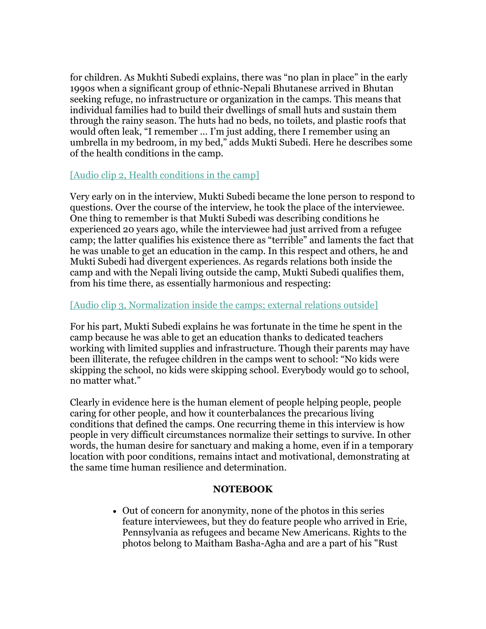for children. As Mukhti Subedi explains, there was "no plan in place" in the early 1990s when a significant group of ethnic-Nepali Bhutanese arrived in Bhutan seeking refuge, no infrastructure or organization in the camps. This means that individual families had to build their dwellings of small huts and sustain them through the rainy season. The huts had no beds, no toilets, and plastic roofs that would often leak, "I remember … I'm just adding, there I remember using an umbrella in my bedroom, in my bed," adds Mukti Subedi. Here he describes some of the health conditions in the camp.

#### [\[Audio clip 2, Health conditions in the camp\]](https://r20.rs6.net/tn.jsp?f=001Qlqr-jFDVcBqDgtJQ7YtOEhXzq3nr2Zk10rqkUeXGjnbaSBxW5hb43pzac0Lg4z0UJkyeiGMNX8k-pTz38CqcV6UGvMo9MKSZ7n4D2f7jj68O7FM1e681VdAP4UYQrZRRVNFasrvS1KsTtz26SLzJpmcf5mPYyYkBUhvQZjsvDgeDAQuI3i7u26kTPqimL2ezEiIbKE45DqicRIDAIJiAg3DAbmg-hey&c=BFeo5_oa7gJtG3WU7h37wf6gvfdzSXJhWuGsqCDVY2aTDsP_jCEJHg==&ch=9npVbV0lSamsS1Jepv02kifz1x0hWJiTeBhg5QFiRDkfqrQztkHMSQ==)

Very early on in the interview, Mukti Subedi became the lone person to respond to questions. Over the course of the interview, he took the place of the interviewee. One thing to remember is that Mukti Subedi was describing conditions he experienced 20 years ago, while the interviewee had just arrived from a refugee camp; the latter qualifies his existence there as "terrible" and laments the fact that he was unable to get an education in the camp. In this respect and others, he and Mukti Subedi had divergent experiences. As regards relations both inside the camp and with the Nepali living outside the camp, Mukti Subedi qualifies them, from his time there, as essentially harmonious and respecting:

#### [\[Audio clip 3, Normalization inside the camps; external relations outside\]](https://r20.rs6.net/tn.jsp?f=001Qlqr-jFDVcBqDgtJQ7YtOEhXzq3nr2Zk10rqkUeXGjnbaSBxW5hb43pzac0Lg4z05QALZp_aTazXqElq5CIvyJL_2Ri4YM68d2oN9SShwThi5_JIaPFcuT-i8j2aNu-kH9Mv91zCY49o5leOk7tf5xs-QXRf7gYEDYrIVI45GUbQML-RrTuV5hOixJoUZ5mIwt9ipK942gj95H-3IVTFewxkv2ypRKxt7qMcUGAWJhs=&c=BFeo5_oa7gJtG3WU7h37wf6gvfdzSXJhWuGsqCDVY2aTDsP_jCEJHg==&ch=9npVbV0lSamsS1Jepv02kifz1x0hWJiTeBhg5QFiRDkfqrQztkHMSQ==)

For his part, Mukti Subedi explains he was fortunate in the time he spent in the camp because he was able to get an education thanks to dedicated teachers working with limited supplies and infrastructure. Though their parents may have been illiterate, the refugee children in the camps went to school: "No kids were skipping the school, no kids were skipping school. Everybody would go to school, no matter what."

Clearly in evidence here is the human element of people helping people, people caring for other people, and how it counterbalances the precarious living conditions that defined the camps. One recurring theme in this interview is how people in very difficult circumstances normalize their settings to survive. In other words, the human desire for sanctuary and making a home, even if in a temporary location with poor conditions, remains intact and motivational, demonstrating at the same time human resilience and determination.

#### **NOTEBOOK**

 Out of concern for anonymity, none of the photos in this series feature interviewees, but they do feature people who arrived in Erie, Pennsylvania as refugees and became New Americans. Rights to the photos belong to Maitham Basha-Agha and are a part of his "Rust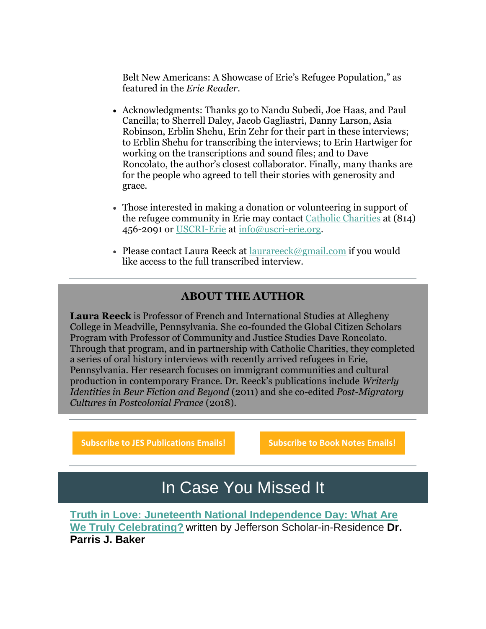Belt New Americans: A Showcase of Erie's Refugee Population," as featured in the *Erie Reader*.

- Acknowledgments: Thanks go to Nandu Subedi, Joe Haas, and Paul Cancilla; to Sherrell Daley, Jacob Gagliastri, Danny Larson, Asia Robinson, Erblin Shehu, Erin Zehr for their part in these interviews; to Erblin Shehu for transcribing the interviews; to Erin Hartwiger for working on the transcriptions and sound files; and to Dave Roncolato, the author's closest collaborator. Finally, many thanks are for the people who agreed to tell their stories with generosity and grace.
- Those interested in making a donation or volunteering in support of the refugee community in Erie may contact [Catholic Charities](https://r20.rs6.net/tn.jsp?f=001Qlqr-jFDVcBqDgtJQ7YtOEhXzq3nr2Zk10rqkUeXGjnbaSBxW5hb43pzac0Lg4z09Sv_lqI1zZ92Yl5_MdhHhvB90Zvsk_HjA7ju3bKPqlNkfHwpbaLCKfUYS3ciEmJFBnCy-WV30MM7Zs-b3ACAUYwhGp7XCdgViGabbbqocdjWae4eNjOPCX3SNlkH5OKYzzGD51Zt8Ko=&c=BFeo5_oa7gJtG3WU7h37wf6gvfdzSXJhWuGsqCDVY2aTDsP_jCEJHg==&ch=9npVbV0lSamsS1Jepv02kifz1x0hWJiTeBhg5QFiRDkfqrQztkHMSQ==) at (814) 456-2091 or [USCRI-Erie](https://r20.rs6.net/tn.jsp?f=001Qlqr-jFDVcBqDgtJQ7YtOEhXzq3nr2Zk10rqkUeXGjnbaSBxW5hb43pzac0Lg4z02SPKcfricukDdwMnxBqHxJPvDbF9paPuFMR6QaU0f-Uf_DpV2dkACAcpfJRARdPMVM7pATYK11AGGqqen8AfURGP7EOJydG3&c=BFeo5_oa7gJtG3WU7h37wf6gvfdzSXJhWuGsqCDVY2aTDsP_jCEJHg==&ch=9npVbV0lSamsS1Jepv02kifz1x0hWJiTeBhg5QFiRDkfqrQztkHMSQ==) at [info@uscri-erie.org.](mailto:info@uscri-erie.og)
- Please contact Laura Reeck at [laurareeck@gmail.com](mailto:laurareeck@gmail.com) if you would like access to the full transcribed interview.

### **ABOUT THE AUTHOR**

**Laura Reeck** is Professor of French and International Studies at Allegheny College in Meadville, Pennsylvania. She co-founded the Global Citizen Scholars Program with Professor of Community and Justice Studies Dave Roncolato. Through that program, and in partnership with Catholic Charities, they completed a series of oral history interviews with recently arrived refugees in Erie, Pennsylvania. Her research focuses on immigrant communities and cultural production in contemporary France. Dr. Reeck's publications include *Writerly Identities in Beur Fiction and Beyond* (2011) and she co-edited *Post-Migratory Cultures in Postcolonial France* (2018).

**[Subscribe to JES Publications Emails!](https://r20.rs6.net/tn.jsp?f=001Qlqr-jFDVcBqDgtJQ7YtOEhXzq3nr2Zk10rqkUeXGjnbaSBxW5hb43pzac0Lg4z02J_wnQyl2gI-jDuPKQh6U3VtolT-KNE_saOyXohLbaMwXMaCykgTD3pMOhzqc2Al_cbCQKRmDjir1T6Mct9toLS_04iXsJ6dBgyGbW9XjKQn89z5qZDZSAe3xtX6B_YAGPECOUpzv-Dozt5i_QcrfRfmtiZzlzzQCIO1Hw5w1dCOOtQp3Ek5TobTaPrBD5cZNgnrquKwbdojRKjJkX9ACjFXIEaCzuRsbqRVWB9PMGrFJw9ea4w-exio3wDM0oOv-lS58DP0sREgm-15n8bhZE0MURY4qoFeEKE54PRNBCU=&c=BFeo5_oa7gJtG3WU7h37wf6gvfdzSXJhWuGsqCDVY2aTDsP_jCEJHg==&ch=9npVbV0lSamsS1Jepv02kifz1x0hWJiTeBhg5QFiRDkfqrQztkHMSQ==) [Subscribe to Book Notes Emails!](https://r20.rs6.net/tn.jsp?f=001Qlqr-jFDVcBqDgtJQ7YtOEhXzq3nr2Zk10rqkUeXGjnbaSBxW5hb43pzac0Lg4z0j96eRAJrWulL-rurlgRLxdbSVY83VV9nGEyHYyyEux2G9zwoTcf86PgbF22SjvyJvGlspnTvo50FDFYWNFfJeKn9iv9raJ6ITxUSny-7RJ6k1iVYnt2fYyM8fiN5j16rhfkhfMzBXfKmHS4Ps2ZRuCabCqzPpNamxmHjIERGuh0av4a2OfpvJeQK_xorVk0M1jB56x4DqOy4p_5xaSV56Mcoz_jLexkLybxUHCDGo7pI7ZW2OxFJ3yGm4bHkB5XNPgPfMuP9jXEQZe19PLttd-fX5WnXSFJotQbdYL-j9Oc=&c=BFeo5_oa7gJtG3WU7h37wf6gvfdzSXJhWuGsqCDVY2aTDsP_jCEJHg==&ch=9npVbV0lSamsS1Jepv02kifz1x0hWJiTeBhg5QFiRDkfqrQztkHMSQ==)**

## In Case You Missed It

**[Truth in Love: Juneteenth National Independence Day: What Are](https://r20.rs6.net/tn.jsp?f=001Qlqr-jFDVcBqDgtJQ7YtOEhXzq3nr2Zk10rqkUeXGjnbaSBxW5hb43pzac0Lg4z0_YZK-k5LRO_vNKpow2Oy_FHK1WUVvk6ryQCOq5z56Krx97tJ8dlY7B7BcQIXXebjyuf97lkRbE8NGVg25piKCg==&c=BFeo5_oa7gJtG3WU7h37wf6gvfdzSXJhWuGsqCDVY2aTDsP_jCEJHg==&ch=9npVbV0lSamsS1Jepv02kifz1x0hWJiTeBhg5QFiRDkfqrQztkHMSQ==)  [We Truly Celebrating?](https://r20.rs6.net/tn.jsp?f=001Qlqr-jFDVcBqDgtJQ7YtOEhXzq3nr2Zk10rqkUeXGjnbaSBxW5hb43pzac0Lg4z0_YZK-k5LRO_vNKpow2Oy_FHK1WUVvk6ryQCOq5z56Krx97tJ8dlY7B7BcQIXXebjyuf97lkRbE8NGVg25piKCg==&c=BFeo5_oa7gJtG3WU7h37wf6gvfdzSXJhWuGsqCDVY2aTDsP_jCEJHg==&ch=9npVbV0lSamsS1Jepv02kifz1x0hWJiTeBhg5QFiRDkfqrQztkHMSQ==)** written by Jefferson Scholar-in-Residence **Dr. Parris J. Baker**